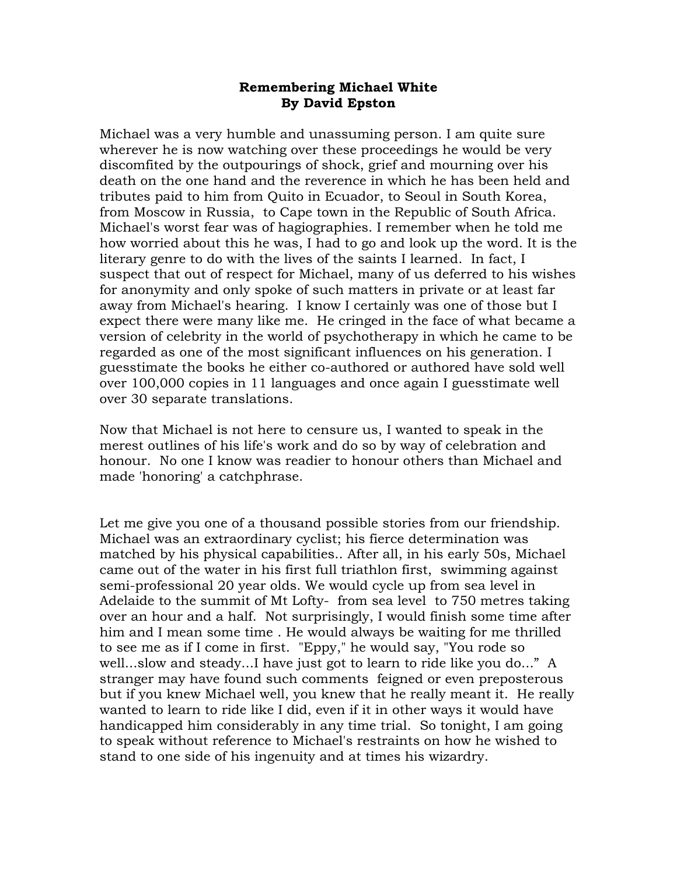## **Remembering Michael White By David Epston**

Michael was a very humble and unassuming person. I am quite sure wherever he is now watching over these proceedings he would be very discomfited by the outpourings of shock, grief and mourning over his death on the one hand and the reverence in which he has been held and tributes paid to him from Quito in Ecuador, to Seoul in South Korea, from Moscow in Russia, to Cape town in the Republic of South Africa. Michael's worst fear was of hagiographies. I remember when he told me how worried about this he was, I had to go and look up the word. It is the literary genre to do with the lives of the saints I learned. In fact, I suspect that out of respect for Michael, many of us deferred to his wishes for anonymity and only spoke of such matters in private or at least far away from Michael's hearing. I know I certainly was one of those but I expect there were many like me. He cringed in the face of what became a version of celebrity in the world of psychotherapy in which he came to be regarded as one of the most significant influences on his generation. I guesstimate the books he either co-authored or authored have sold well over 100,000 copies in 11 languages and once again I guesstimate well over 30 separate translations.

Now that Michael is not here to censure us, I wanted to speak in the merest outlines of his life's work and do so by way of celebration and honour. No one I know was readier to honour others than Michael and made 'honoring' a catchphrase.

Let me give you one of a thousand possible stories from our friendship. Michael was an extraordinary cyclist; his fierce determination was matched by his physical capabilities.. After all, in his early 50s, Michael came out of the water in his first full triathlon first, swimming against semi-professional 20 year olds. We would cycle up from sea level in Adelaide to the summit of Mt Lofty- from sea level to 750 metres taking over an hour and a half. Not surprisingly, I would finish some time after him and I mean some time . He would always be waiting for me thrilled to see me as if I come in first. "Eppy," he would say, "You rode so well...slow and steady...I have just got to learn to ride like you do..." A stranger may have found such comments feigned or even preposterous but if you knew Michael well, you knew that he really meant it. He really wanted to learn to ride like I did, even if it in other ways it would have handicapped him considerably in any time trial. So tonight, I am going to speak without reference to Michael's restraints on how he wished to stand to one side of his ingenuity and at times his wizardry.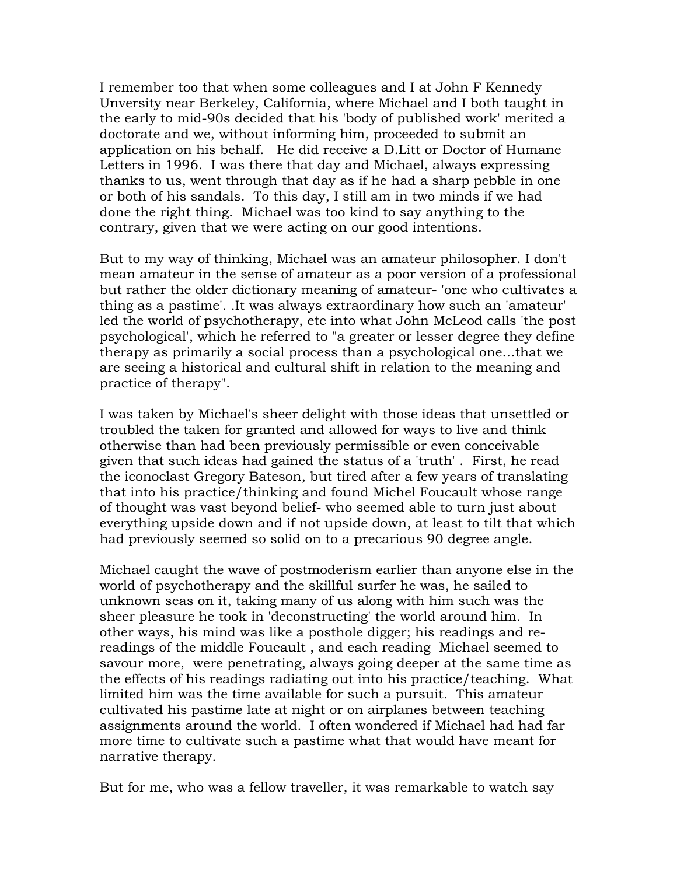I remember too that when some colleagues and I at John F Kennedy Unversity near Berkeley, California, where Michael and I both taught in the early to mid-90s decided that his 'body of published work' merited a doctorate and we, without informing him, proceeded to submit an application on his behalf. He did receive a D.Litt or Doctor of Humane Letters in 1996. I was there that day and Michael, always expressing thanks to us, went through that day as if he had a sharp pebble in one or both of his sandals. To this day, I still am in two minds if we had done the right thing. Michael was too kind to say anything to the contrary, given that we were acting on our good intentions.

But to my way of thinking, Michael was an amateur philosopher. I don't mean amateur in the sense of amateur as a poor version of a professional but rather the older dictionary meaning of amateur- 'one who cultivates a thing as a pastime'. .It was always extraordinary how such an 'amateur' led the world of psychotherapy, etc into what John McLeod calls 'the post psychological', which he referred to "a greater or lesser degree they define therapy as primarily a social process than a psychological one...that we are seeing a historical and cultural shift in relation to the meaning and practice of therapy".

I was taken by Michael's sheer delight with those ideas that unsettled or troubled the taken for granted and allowed for ways to live and think otherwise than had been previously permissible or even conceivable given that such ideas had gained the status of a 'truth' . First, he read the iconoclast Gregory Bateson, but tired after a few years of translating that into his practice/thinking and found Michel Foucault whose range of thought was vast beyond belief- who seemed able to turn just about everything upside down and if not upside down, at least to tilt that which had previously seemed so solid on to a precarious 90 degree angle.

Michael caught the wave of postmoderism earlier than anyone else in the world of psychotherapy and the skillful surfer he was, he sailed to unknown seas on it, taking many of us along with him such was the sheer pleasure he took in 'deconstructing' the world around him. In other ways, his mind was like a posthole digger; his readings and rereadings of the middle Foucault , and each reading Michael seemed to savour more, were penetrating, always going deeper at the same time as the effects of his readings radiating out into his practice/teaching. What limited him was the time available for such a pursuit. This amateur cultivated his pastime late at night or on airplanes between teaching assignments around the world. I often wondered if Michael had had far more time to cultivate such a pastime what that would have meant for narrative therapy.

But for me, who was a fellow traveller, it was remarkable to watch say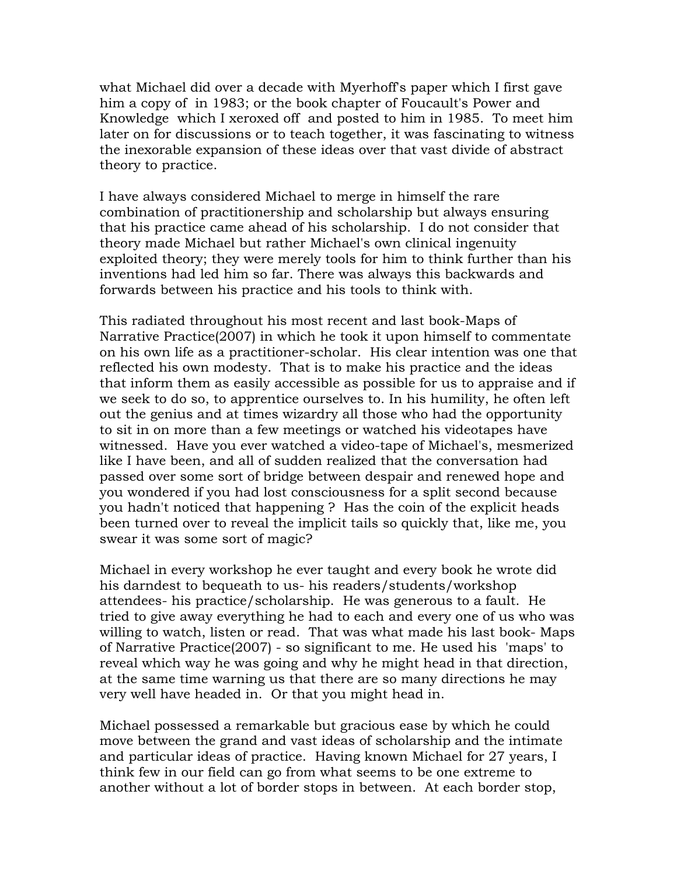what Michael did over a decade with Myerhoff's paper which I first gave him a copy of in 1983; or the book chapter of Foucault's Power and Knowledge which I xeroxed off and posted to him in 1985. To meet him later on for discussions or to teach together, it was fascinating to witness the inexorable expansion of these ideas over that vast divide of abstract theory to practice.

I have always considered Michael to merge in himself the rare combination of practitionership and scholarship but always ensuring that his practice came ahead of his scholarship. I do not consider that theory made Michael but rather Michael's own clinical ingenuity exploited theory; they were merely tools for him to think further than his inventions had led him so far. There was always this backwards and forwards between his practice and his tools to think with.

This radiated throughout his most recent and last book-Maps of Narrative Practice(2007) in which he took it upon himself to commentate on his own life as a practitioner-scholar. His clear intention was one that reflected his own modesty. That is to make his practice and the ideas that inform them as easily accessible as possible for us to appraise and if we seek to do so, to apprentice ourselves to. In his humility, he often left out the genius and at times wizardry all those who had the opportunity to sit in on more than a few meetings or watched his videotapes have witnessed. Have you ever watched a video-tape of Michael's, mesmerized like I have been, and all of sudden realized that the conversation had passed over some sort of bridge between despair and renewed hope and you wondered if you had lost consciousness for a split second because you hadn't noticed that happening ? Has the coin of the explicit heads been turned over to reveal the implicit tails so quickly that, like me, you swear it was some sort of magic?

Michael in every workshop he ever taught and every book he wrote did his darndest to bequeath to us- his readers/students/workshop attendees- his practice/scholarship. He was generous to a fault. He tried to give away everything he had to each and every one of us who was willing to watch, listen or read. That was what made his last book- Maps of Narrative Practice(2007) - so significant to me. He used his 'maps' to reveal which way he was going and why he might head in that direction, at the same time warning us that there are so many directions he may very well have headed in. Or that you might head in.

Michael possessed a remarkable but gracious ease by which he could move between the grand and vast ideas of scholarship and the intimate and particular ideas of practice. Having known Michael for 27 years, I think few in our field can go from what seems to be one extreme to another without a lot of border stops in between. At each border stop,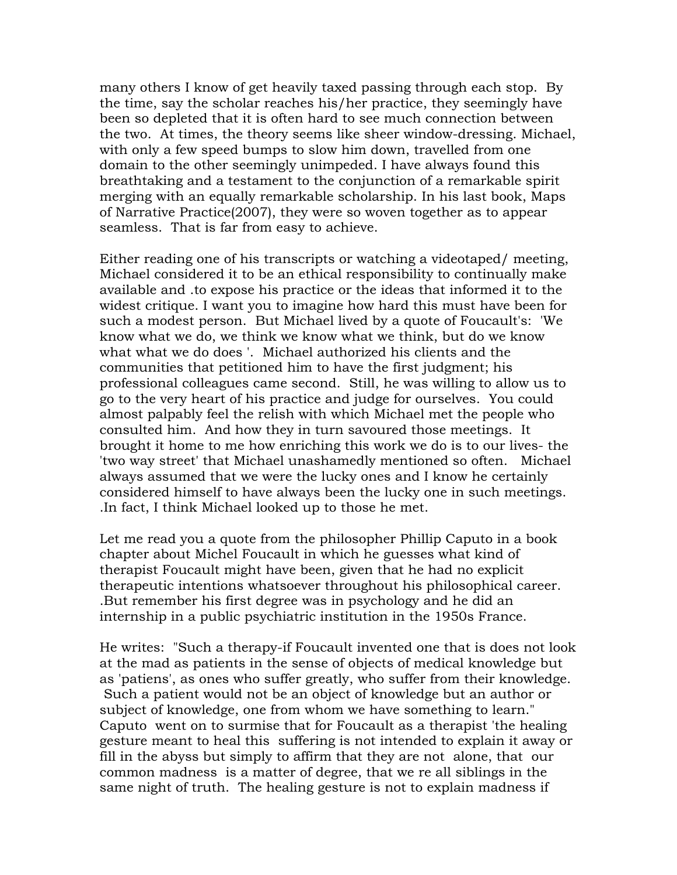many others I know of get heavily taxed passing through each stop. By the time, say the scholar reaches his/her practice, they seemingly have been so depleted that it is often hard to see much connection between the two. At times, the theory seems like sheer window-dressing. Michael, with only a few speed bumps to slow him down, travelled from one domain to the other seemingly unimpeded. I have always found this breathtaking and a testament to the conjunction of a remarkable spirit merging with an equally remarkable scholarship. In his last book, Maps of Narrative Practice(2007), they were so woven together as to appear seamless. That is far from easy to achieve.

Either reading one of his transcripts or watching a videotaped/ meeting, Michael considered it to be an ethical responsibility to continually make available and .to expose his practice or the ideas that informed it to the widest critique. I want you to imagine how hard this must have been for such a modest person. But Michael lived by a quote of Foucault's: 'We know what we do, we think we know what we think, but do we know what what we do does '. Michael authorized his clients and the communities that petitioned him to have the first judgment; his professional colleagues came second. Still, he was willing to allow us to go to the very heart of his practice and judge for ourselves. You could almost palpably feel the relish with which Michael met the people who consulted him. And how they in turn savoured those meetings. It brought it home to me how enriching this work we do is to our lives- the 'two way street' that Michael unashamedly mentioned so often. Michael always assumed that we were the lucky ones and I know he certainly considered himself to have always been the lucky one in such meetings. .In fact, I think Michael looked up to those he met.

Let me read you a quote from the philosopher Phillip Caputo in a book chapter about Michel Foucault in which he guesses what kind of therapist Foucault might have been, given that he had no explicit therapeutic intentions whatsoever throughout his philosophical career. .But remember his first degree was in psychology and he did an internship in a public psychiatric institution in the 1950s France.

He writes: "Such a therapy-if Foucault invented one that is does not look at the mad as patients in the sense of objects of medical knowledge but as 'patiens', as ones who suffer greatly, who suffer from their knowledge. Such a patient would not be an object of knowledge but an author or subject of knowledge, one from whom we have something to learn." Caputo went on to surmise that for Foucault as a therapist 'the healing gesture meant to heal this suffering is not intended to explain it away or fill in the abyss but simply to affirm that they are not alone, that our common madness is a matter of degree, that we re all siblings in the same night of truth. The healing gesture is not to explain madness if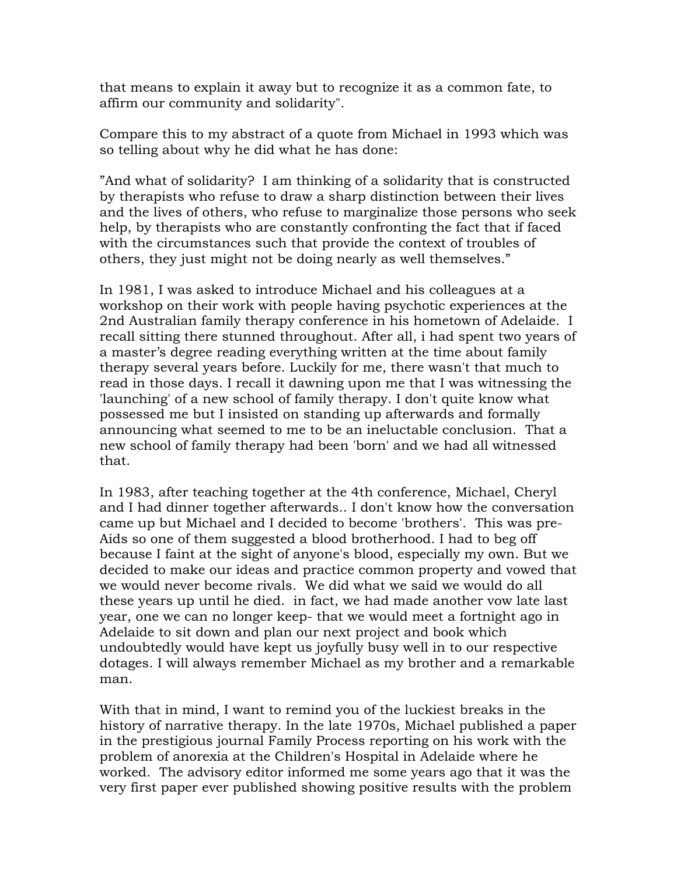that means to explain it away but to recognize it as a common fate, to affirm our community and solidarity".

Compare this to my abstract of a quote from Michael in 1993 which was so telling about why he did what he has done:

"And what of solidarity? I am thinking of a solidarity that is constructed by therapists who refuse to draw a sharp distinction between their lives and the lives of others, who refuse to marginalize those persons who seek help, by therapists who are constantly confronting the fact that if faced with the circumstances such that provide the context of troubles of others, they just might not be doing nearly as well themselves."

In 1981, I was asked to introduce Michael and his colleagues at a workshop on their work with people having psychotic experiences at the 2nd Australian family therapy conference in his hometown of Adelaide. I recall sitting there stunned throughout. After all, i had spent two years of a master's degree reading everything written at the time about family therapy several years before. Luckily for me, there wasn't that much to read in those days. I recall it dawning upon me that I was witnessing the 'launching' of a new school of family therapy. I don't quite know what possessed me but I insisted on standing up afterwards and formally announcing what seemed to me to be an ineluctable conclusion. That a new school of family therapy had been 'born' and we had all witnessed that.

In 1983, after teaching together at the 4th conference, Michael, Cheryl and I had dinner together afterwards.. I don't know how the conversation came up but Michael and I decided to become 'brothers'. This was pre-Aids so one of them suggested a blood brotherhood. I had to beg off because I faint at the sight of anyone's blood, especially my own. But we decided to make our ideas and practice common property and vowed that we would never become rivals. We did what we said we would do all these years up until he died. in fact, we had made another vow late last year, one we can no longer keep- that we would meet a fortnight ago in Adelaide to sit down and plan our next project and book which undoubtedly would have kept us joyfully busy well in to our respective dotages. I will always remember Michael as my brother and a remarkable man.

With that in mind, I want to remind you of the luckiest breaks in the history of narrative therapy. In the late 1970s, Michael published a paper in the prestigious journal Family Process reporting on his work with the problem of anorexia at the Children's Hospital in Adelaide where he worked. The advisory editor informed me some years ago that it was the very first paper ever published showing positive results with the problem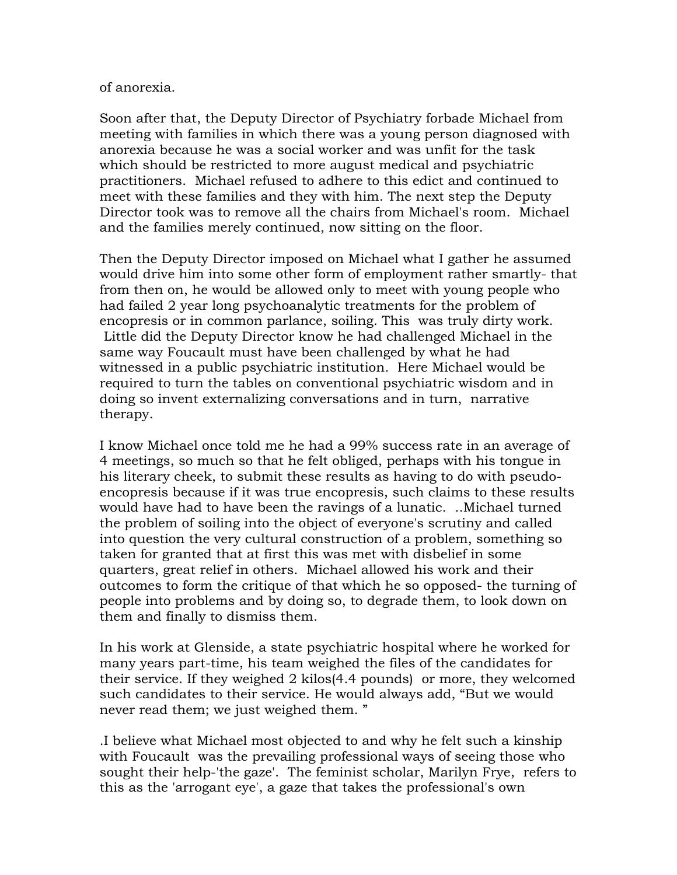## of anorexia.

Soon after that, the Deputy Director of Psychiatry forbade Michael from meeting with families in which there was a young person diagnosed with anorexia because he was a social worker and was unfit for the task which should be restricted to more august medical and psychiatric practitioners. Michael refused to adhere to this edict and continued to meet with these families and they with him. The next step the Deputy Director took was to remove all the chairs from Michael's room. Michael and the families merely continued, now sitting on the floor.

Then the Deputy Director imposed on Michael what I gather he assumed would drive him into some other form of employment rather smartly- that from then on, he would be allowed only to meet with young people who had failed 2 year long psychoanalytic treatments for the problem of encopresis or in common parlance, soiling. This was truly dirty work. Little did the Deputy Director know he had challenged Michael in the same way Foucault must have been challenged by what he had witnessed in a public psychiatric institution. Here Michael would be required to turn the tables on conventional psychiatric wisdom and in doing so invent externalizing conversations and in turn, narrative therapy.

I know Michael once told me he had a 99% success rate in an average of 4 meetings, so much so that he felt obliged, perhaps with his tongue in his literary cheek, to submit these results as having to do with pseudoencopresis because if it was true encopresis, such claims to these results would have had to have been the ravings of a lunatic. ..Michael turned the problem of soiling into the object of everyone's scrutiny and called into question the very cultural construction of a problem, something so taken for granted that at first this was met with disbelief in some quarters, great relief in others. Michael allowed his work and their outcomes to form the critique of that which he so opposed- the turning of people into problems and by doing so, to degrade them, to look down on them and finally to dismiss them.

In his work at Glenside, a state psychiatric hospital where he worked for many years part-time, his team weighed the files of the candidates for their service. If they weighed 2 kilos(4.4 pounds) or more, they welcomed such candidates to their service. He would always add, "But we would never read them; we just weighed them. "

.I believe what Michael most objected to and why he felt such a kinship with Foucault was the prevailing professional ways of seeing those who sought their help-'the gaze'. The feminist scholar, Marilyn Frye, refers to this as the 'arrogant eye', a gaze that takes the professional's own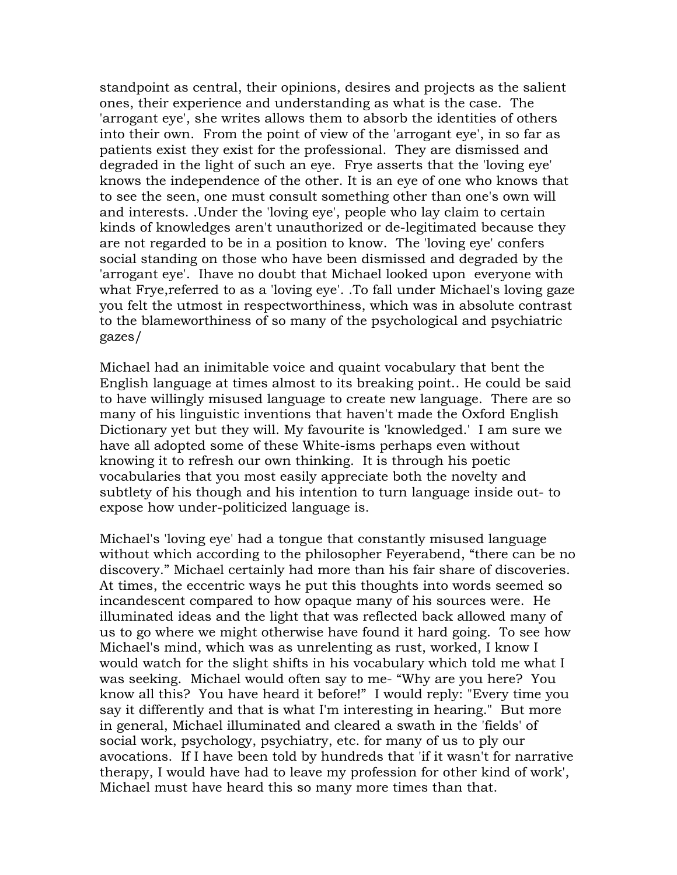standpoint as central, their opinions, desires and projects as the salient ones, their experience and understanding as what is the case. The 'arrogant eye', she writes allows them to absorb the identities of others into their own. From the point of view of the 'arrogant eye', in so far as patients exist they exist for the professional. They are dismissed and degraded in the light of such an eye. Frye asserts that the 'loving eye' knows the independence of the other. It is an eye of one who knows that to see the seen, one must consult something other than one's own will and interests. .Under the 'loving eye', people who lay claim to certain kinds of knowledges aren't unauthorized or de-legitimated because they are not regarded to be in a position to know. The 'loving eye' confers social standing on those who have been dismissed and degraded by the 'arrogant eye'. Ihave no doubt that Michael looked upon everyone with what Frye,referred to as a 'loving eye'. .To fall under Michael's loving gaze you felt the utmost in respectworthiness, which was in absolute contrast to the blameworthiness of so many of the psychological and psychiatric gazes/

Michael had an inimitable voice and quaint vocabulary that bent the English language at times almost to its breaking point.. He could be said to have willingly misused language to create new language. There are so many of his linguistic inventions that haven't made the Oxford English Dictionary yet but they will. My favourite is 'knowledged.' I am sure we have all adopted some of these White-isms perhaps even without knowing it to refresh our own thinking. It is through his poetic vocabularies that you most easily appreciate both the novelty and subtlety of his though and his intention to turn language inside out- to expose how under-politicized language is.

Michael's 'loving eye' had a tongue that constantly misused language without which according to the philosopher Feyerabend, "there can be no discovery." Michael certainly had more than his fair share of discoveries. At times, the eccentric ways he put this thoughts into words seemed so incandescent compared to how opaque many of his sources were. He illuminated ideas and the light that was reflected back allowed many of us to go where we might otherwise have found it hard going. To see how Michael's mind, which was as unrelenting as rust, worked, I know I would watch for the slight shifts in his vocabulary which told me what I was seeking. Michael would often say to me- "Why are you here? You know all this? You have heard it before!" I would reply: "Every time you say it differently and that is what I'm interesting in hearing." But more in general, Michael illuminated and cleared a swath in the 'fields' of social work, psychology, psychiatry, etc. for many of us to ply our avocations. If I have been told by hundreds that 'if it wasn't for narrative therapy, I would have had to leave my profession for other kind of work', Michael must have heard this so many more times than that.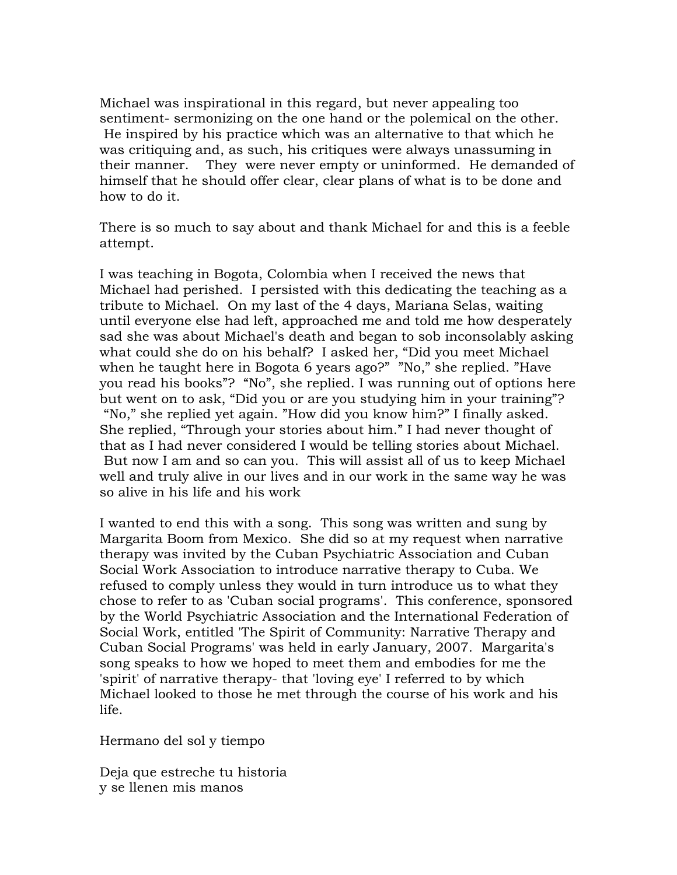Michael was inspirational in this regard, but never appealing too sentiment- sermonizing on the one hand or the polemical on the other. He inspired by his practice which was an alternative to that which he was critiquing and, as such, his critiques were always unassuming in their manner. They were never empty or uninformed. He demanded of himself that he should offer clear, clear plans of what is to be done and how to do it.

There is so much to say about and thank Michael for and this is a feeble attempt.

I was teaching in Bogota, Colombia when I received the news that Michael had perished. I persisted with this dedicating the teaching as a tribute to Michael. On my last of the 4 days, Mariana Selas, waiting until everyone else had left, approached me and told me how desperately sad she was about Michael's death and began to sob inconsolably asking what could she do on his behalf? I asked her, "Did you meet Michael when he taught here in Bogota 6 years ago?" "No," she replied. "Have you read his books"? "No", she replied. I was running out of options here but went on to ask, "Did you or are you studying him in your training"? "No," she replied yet again. "How did you know him?" I finally asked. She replied, "Through your stories about him." I had never thought of that as I had never considered I would be telling stories about Michael. But now I am and so can you. This will assist all of us to keep Michael well and truly alive in our lives and in our work in the same way he was so alive in his life and his work

I wanted to end this with a song. This song was written and sung by Margarita Boom from Mexico. She did so at my request when narrative therapy was invited by the Cuban Psychiatric Association and Cuban Social Work Association to introduce narrative therapy to Cuba. We refused to comply unless they would in turn introduce us to what they chose to refer to as 'Cuban social programs'. This conference, sponsored by the World Psychiatric Association and the International Federation of Social Work, entitled 'The Spirit of Community: Narrative Therapy and Cuban Social Programs' was held in early January, 2007. Margarita's song speaks to how we hoped to meet them and embodies for me the 'spirit' of narrative therapy- that 'loving eye' I referred to by which Michael looked to those he met through the course of his work and his life.

Hermano del sol y tiempo

Deja que estreche tu historia y se llenen mis manos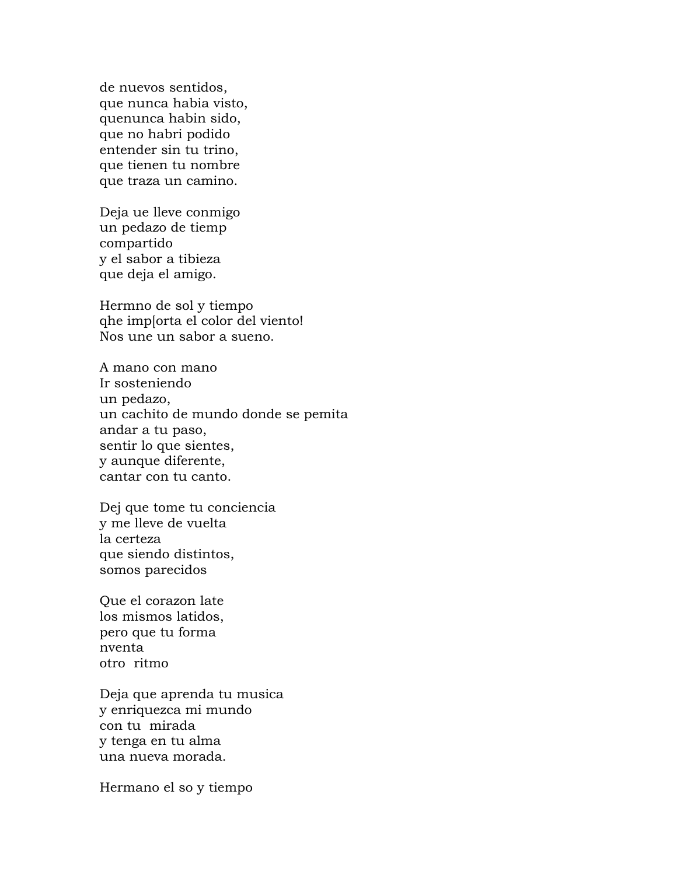de nuevos sentidos, que nunca habia visto, quenunca habin sido, que no habri podido entender sin tu trino, que tienen tu nombre que traza un camino.

Deja ue lleve conmigo un pedazo de tiemp compartido y el sabor a tibieza que deja el amigo.

Hermno de sol y tiempo qhe imp[orta el color del viento! Nos une un sabor a sueno.

A mano con mano Ir sosteniendo un pedazo, un cachito de mundo donde se pemita andar a tu paso, sentir lo que sientes, y aunque diferente, cantar con tu canto.

Dej que tome tu conciencia y me lleve de vuelta la certeza que siendo distintos, somos parecidos

Que el corazon late los mismos latidos, pero que tu forma nventa otro ritmo

Deja que aprenda tu musica y enriquezca mi mundo con tu mirada y tenga en tu alma una nueva morada.

Hermano el so y tiempo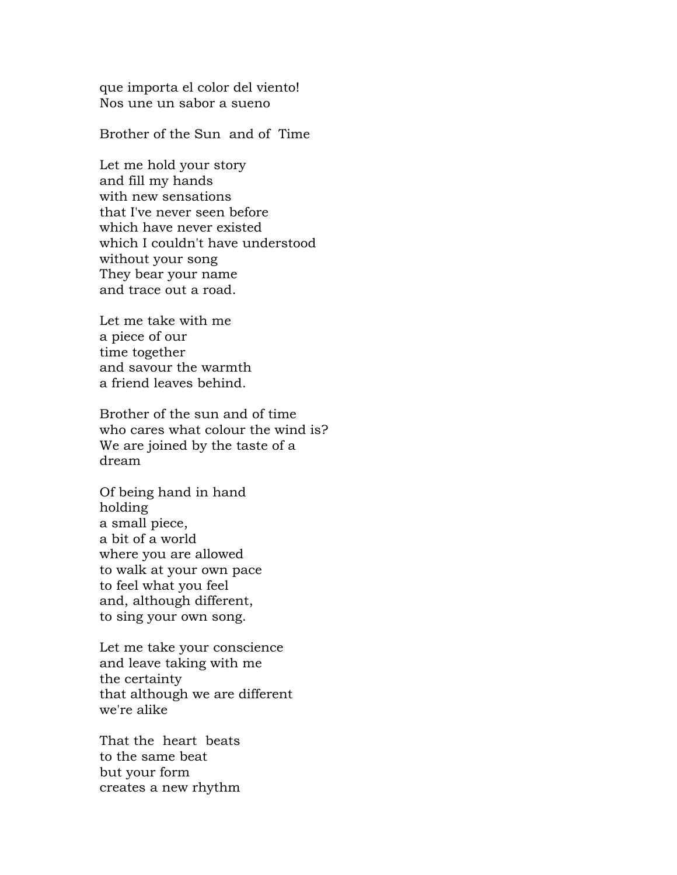que importa el color del viento! Nos une un sabor a sueno

Brother of the Sun and of Time

Let me hold your story and fill my hands with new sensations that I've never seen before which have never existed which I couldn't have understood without your song They bear your name and trace out a road.

Let me take with me a piece of our time together and savour the warmth a friend leaves behind.

Brother of the sun and of time who cares what colour the wind is? We are joined by the taste of a dream

Of being hand in hand holding a small piece, a bit of a world where you are allowed to walk at your own pace to feel what you feel and, although different, to sing your own song.

Let me take your conscience and leave taking with me the certainty that although we are different we're alike

That the heart beats to the same beat but your form creates a new rhythm